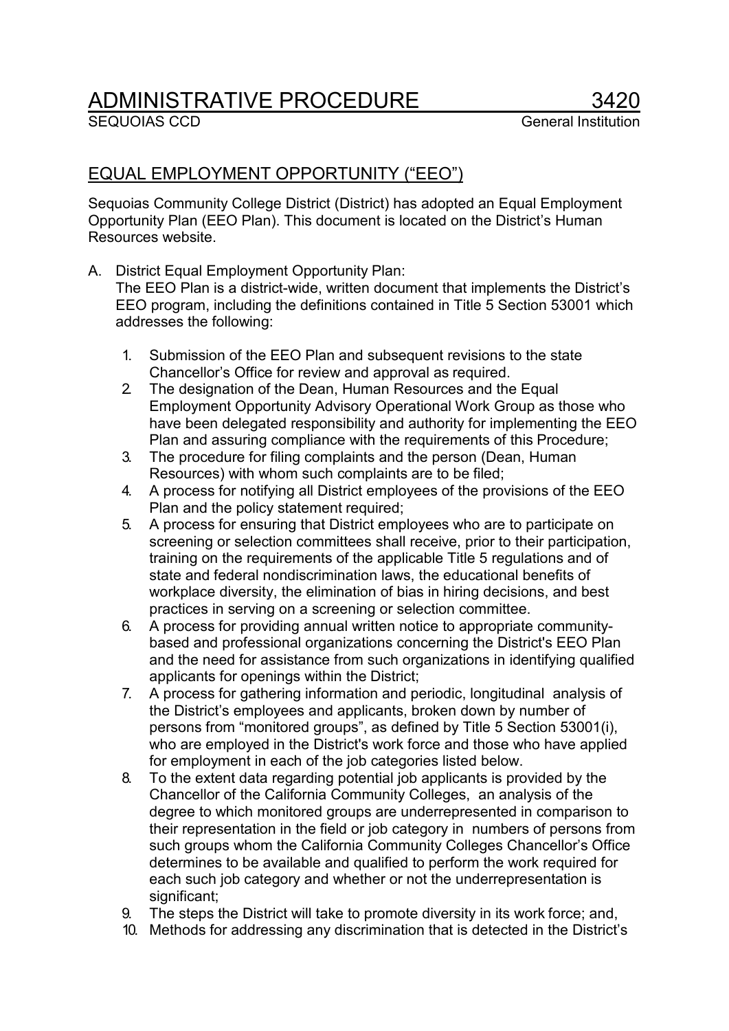# ADMINISTRATIVE PROCEDURE 3420

# EQUAL EMPLOYMENT OPPORTUNITY ("EEO")

Sequoias Community College District (District) has adopted an Equal Employment Opportunity Plan (EEO Plan). This document is located on the District's Human Resources website.

A. District Equal Employment Opportunity Plan:

The EEO Plan is a district-wide, written document that implements the District's EEO program, including the definitions contained in Title 5 Section 53001 which addresses the following:

- 1. Submission of the EEO Plan and subsequent revisions to the state Chancellor's Office for review and approval as required.
- 2. The designation of the Dean, Human Resources and the Equal Employment Opportunity Advisory Operational Work Group as those who have been delegated responsibility and authority for implementing the EEO Plan and assuring compliance with the requirements of this Procedure;
- 3. The procedure for filing complaints and the person (Dean, Human Resources) with whom such complaints are to be filed;
- 4. A process for notifying all District employees of the provisions of the EEO Plan and the policy statement required;
- 5. A process for ensuring that District employees who are to participate on screening or selection committees shall receive, prior to their participation, training on the requirements of the applicable Title 5 regulations and of state and federal nondiscrimination laws, the educational benefits of workplace diversity, the elimination of bias in hiring decisions, and best practices in serving on a screening or selection committee.
- 6. A process for providing annual written notice to appropriate communitybased and professional organizations concerning the District's EEO Plan and the need for assistance from such organizations in identifying qualified applicants for openings within the District;
- 7. A process for gathering information and periodic, longitudinal analysis of the District's employees and applicants, broken down by number of persons from "monitored groups", as defined by Title 5 Section 53001(i), who are employed in the District's work force and those who have applied for employment in each of the job categories listed below.
- 8. To the extent data regarding potential job applicants is provided by the Chancellor of the California Community Colleges, an analysis of the degree to which monitored groups are underrepresented in comparison to their representation in the field or job category in numbers of persons from such groups whom the California Community Colleges Chancellor's Office determines to be available and qualified to perform the work required for each such job category and whether or not the underrepresentation is significant:
- 9. The steps the District will take to promote diversity in its work force; and,
- 10. Methods for addressing any discrimination that is detected in the District's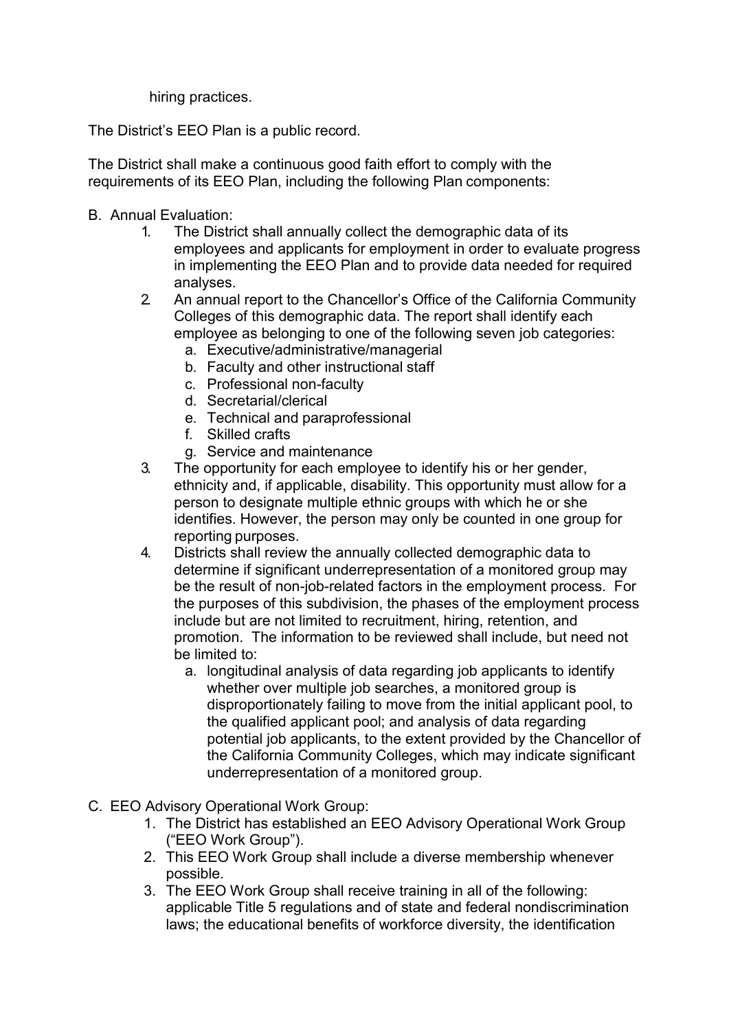hiring practices.

The District's EEO Plan is a public record.

The District shall make a continuous good faith effort to comply with the requirements of its EEO Plan, including the following Plan components:

- B. Annual Evaluation:
	- 1. The District shall annually collect the demographic data of its employees and applicants for employment in order to evaluate progress in implementing the EEO Plan and to provide data needed for required analyses.
	- 2. An annual report to the Chancellor's Office of the California Community Colleges of this demographic data. The report shall identify each employee as belonging to one of the following seven job categories:
		- a. Executive/administrative/managerial
		- b. Faculty and other instructional staff
		- c. Professional non-faculty
		- d. Secretarial/clerical
		- e. Technical and paraprofessional
		- f. Skilled crafts
		- g. Service and maintenance
	- 3. The opportunity for each employee to identify his or her gender, ethnicity and, if applicable, disability. This opportunity must allow for a person to designate multiple ethnic groups with which he or she identifies. However, the person may only be counted in one group for reporting purposes.
	- 4. Districts shall review the annually collected demographic data to determine if significant underrepresentation of a monitored group may be the result of non-job-related factors in the employment process. For the purposes of this subdivision, the phases of the employment process include but are not limited to recruitment, hiring, retention, and promotion. The information to be reviewed shall include, but need not be limited to:
		- a. longitudinal analysis of data regarding job applicants to identify whether over multiple job searches, a monitored group is disproportionately failing to move from the initial applicant pool, to the qualified applicant pool; and analysis of data regarding potential job applicants, to the extent provided by the Chancellor of the California Community Colleges, which may indicate significant underrepresentation of a monitored group.
- C. EEO Advisory Operational Work Group:
	- 1. The District has established an EEO Advisory Operational Work Group ("EEO Work Group").
	- 2. This EEO Work Group shall include a diverse membership whenever possible.
	- 3. The EEO Work Group shall receive training in all of the following: applicable Title 5 regulations and of state and federal nondiscrimination laws; the educational benefits of workforce diversity, the identification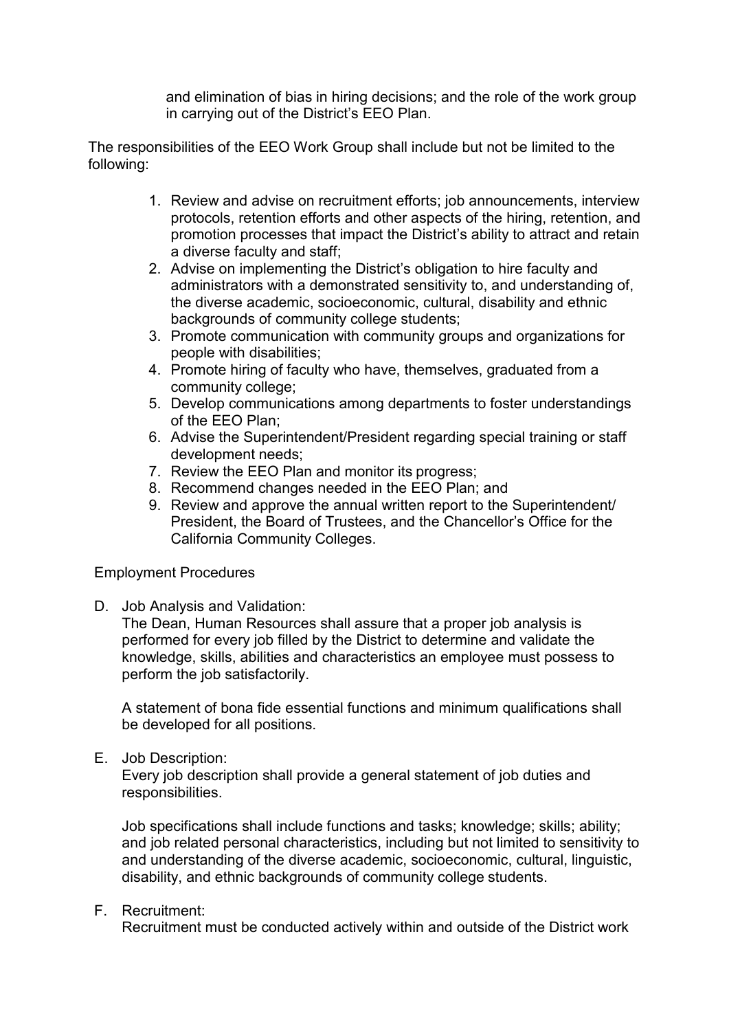and elimination of bias in hiring decisions; and the role of the work group in carrying out of the District's EEO Plan.

The responsibilities of the EEO Work Group shall include but not be limited to the following:

- 1. Review and advise on recruitment efforts; job announcements, interview protocols, retention efforts and other aspects of the hiring, retention, and promotion processes that impact the District's ability to attract and retain a diverse faculty and staff;
- 2. Advise on implementing the District's obligation to hire faculty and administrators with a demonstrated sensitivity to, and understanding of, the diverse academic, socioeconomic, cultural, disability and ethnic backgrounds of community college students;
- 3. Promote communication with community groups and organizations for people with disabilities;
- 4. Promote hiring of faculty who have, themselves, graduated from a community college;
- 5. Develop communications among departments to foster understandings of the EEO Plan;
- 6. Advise the Superintendent/President regarding special training or staff development needs;
- 7. Review the EEO Plan and monitor its progress;
- 8. Recommend changes needed in the EEO Plan; and
- 9. Review and approve the annual written report to the Superintendent/ President, the Board of Trustees, and the Chancellor's Office for the California Community Colleges.

# Employment Procedures

D. Job Analysis and Validation:

The Dean, Human Resources shall assure that a proper job analysis is performed for every job filled by the District to determine and validate the knowledge, skills, abilities and characteristics an employee must possess to perform the job satisfactorily.

A statement of bona fide essential functions and minimum qualifications shall be developed for all positions.

E. Job Description:

Every job description shall provide a general statement of job duties and responsibilities.

Job specifications shall include functions and tasks; knowledge; skills; ability; and job related personal characteristics, including but not limited to sensitivity to and understanding of the diverse academic, socioeconomic, cultural, linguistic, disability, and ethnic backgrounds of community college students.

# F. Recruitment:

Recruitment must be conducted actively within and outside of the District work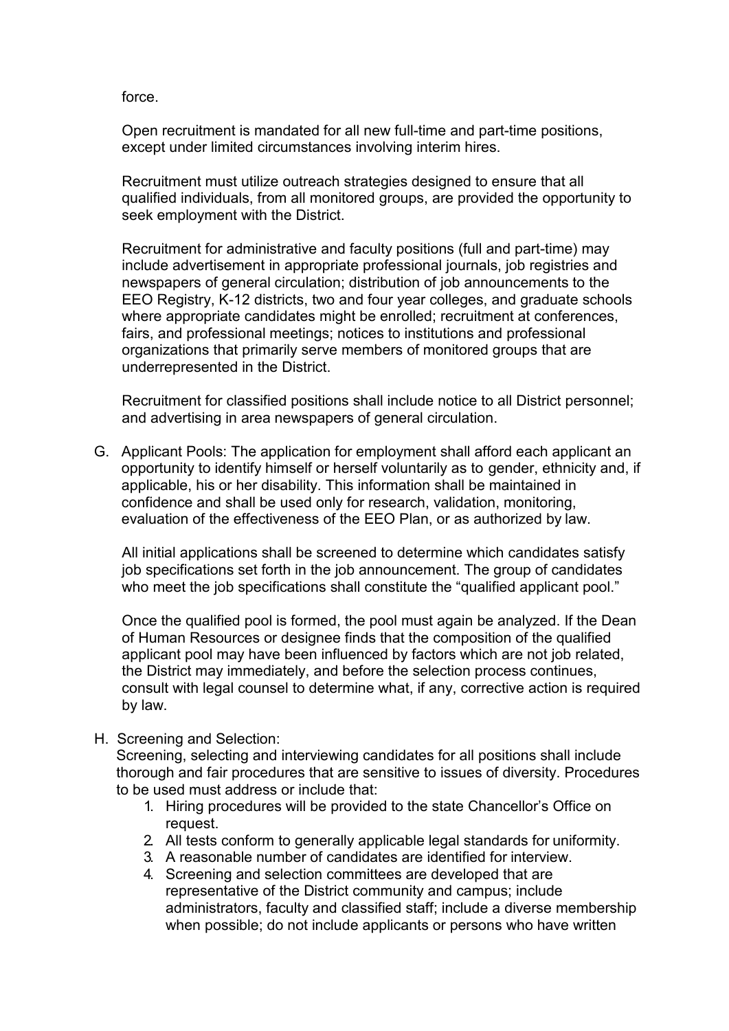force.

Open recruitment is mandated for all new full-time and part-time positions, except under limited circumstances involving interim hires.

Recruitment must utilize outreach strategies designed to ensure that all qualified individuals, from all monitored groups, are provided the opportunity to seek employment with the District.

Recruitment for administrative and faculty positions (full and part-time) may include advertisement in appropriate professional journals, job registries and newspapers of general circulation; distribution of job announcements to the EEO Registry, K-12 districts, two and four year colleges, and graduate schools where appropriate candidates might be enrolled; recruitment at conferences, fairs, and professional meetings; notices to institutions and professional organizations that primarily serve members of monitored groups that are underrepresented in the District.

Recruitment for classified positions shall include notice to all District personnel; and advertising in area newspapers of general circulation.

G. Applicant Pools: The application for employment shall afford each applicant an opportunity to identify himself or herself voluntarily as to gender, ethnicity and, if applicable, his or her disability. This information shall be maintained in confidence and shall be used only for research, validation, monitoring, evaluation of the effectiveness of the EEO Plan, or as authorized by law.

All initial applications shall be screened to determine which candidates satisfy job specifications set forth in the job announcement. The group of candidates who meet the job specifications shall constitute the "qualified applicant pool."

Once the qualified pool is formed, the pool must again be analyzed. If the Dean of Human Resources or designee finds that the composition of the qualified applicant pool may have been influenced by factors which are not job related, the District may immediately, and before the selection process continues, consult with legal counsel to determine what, if any, corrective action is required by law.

# H. Screening and Selection:

Screening, selecting and interviewing candidates for all positions shall include thorough and fair procedures that are sensitive to issues of diversity. Procedures to be used must address or include that:

- 1. Hiring procedures will be provided to the state Chancellor's Office on request.
- 2. All tests conform to generally applicable legal standards for uniformity.
- 3. A reasonable number of candidates are identified for interview.
- 4. Screening and selection committees are developed that are representative of the District community and campus; include administrators, faculty and classified staff; include a diverse membership when possible; do not include applicants or persons who have written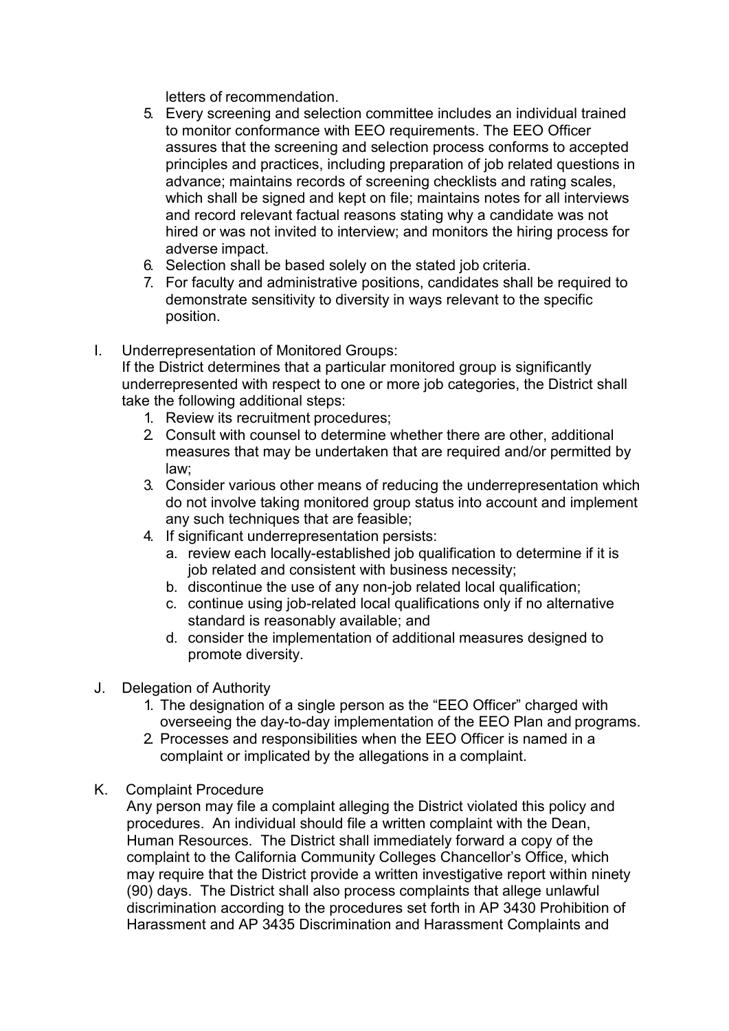letters of recommendation.

- 5. Every screening and selection committee includes an individual trained to monitor conformance with EEO requirements. The EEO Officer assures that the screening and selection process conforms to accepted principles and practices, including preparation of job related questions in advance; maintains records of screening checklists and rating scales, which shall be signed and kept on file; maintains notes for all interviews and record relevant factual reasons stating why a candidate was not hired or was not invited to interview; and monitors the hiring process for adverse impact.
- 6. Selection shall be based solely on the stated job criteria.
- 7. For faculty and administrative positions, candidates shall be required to demonstrate sensitivity to diversity in ways relevant to the specific position.
- I. Underrepresentation of Monitored Groups:

If the District determines that a particular monitored group is significantly underrepresented with respect to one or more job categories, the District shall take the following additional steps:

- 1. Review its recruitment procedures;
- 2. Consult with counsel to determine whether there are other, additional measures that may be undertaken that are required and/or permitted by law;
- 3. Consider various other means of reducing the underrepresentation which do not involve taking monitored group status into account and implement any such techniques that are feasible;
- 4. If significant underrepresentation persists:
	- a. review each locally-established job qualification to determine if it is job related and consistent with business necessity;
	- b. discontinue the use of any non-job related local qualification;
	- c. continue using job-related local qualifications only if no alternative standard is reasonably available; and
	- d. consider the implementation of additional measures designed to promote diversity.
- J. Delegation of Authority
	- 1. The designation of a single person as the "EEO Officer" charged with overseeing the day-to-day implementation of the EEO Plan and programs.
	- 2. Processes and responsibilities when the EEO Officer is named in a complaint or implicated by the allegations in a complaint.
- K. Complaint Procedure

Any person may file a complaint alleging the District violated this policy and procedures. An individual should file a written complaint with the Dean, Human Resources. The District shall immediately forward a copy of the complaint to the California Community Colleges Chancellor's Office, which may require that the District provide a written investigative report within ninety (90) days. The District shall also process complaints that allege unlawful discrimination according to the procedures set forth in AP 3430 Prohibition of Harassment and AP 3435 Discrimination and Harassment Complaints and